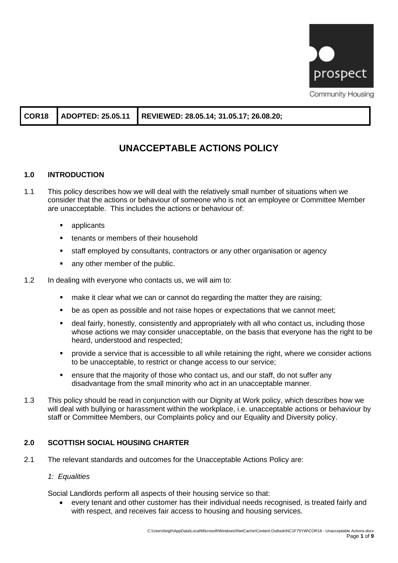

**COR18 ADOPTED: 25.05.11 REVIEWED: 28.05.14; 31.05.17; 26.08.20;**

# **UNACCEPTABLE ACTIONS POLICY**

# **1.0 INTRODUCTION**

- 1.1 This policy describes how we will deal with the relatively small number of situations when we consider that the actions or behaviour of someone who is not an employee or Committee Member are unacceptable. This includes the actions or behaviour of:
	- applicants
	- tenants or members of their household
	- staff employed by consultants, contractors or any other organisation or agency
	- any other member of the public.
- 1.2 In dealing with everyone who contacts us, we will aim to:
	- make it clear what we can or cannot do regarding the matter they are raising;
	- be as open as possible and not raise hopes or expectations that we cannot meet;
	- deal fairly, honestly, consistently and appropriately with all who contact us, including those whose actions we may consider unacceptable, on the basis that everyone has the right to be heard, understood and respected;
	- **•** provide a service that is accessible to all while retaining the right, where we consider actions to be unacceptable, to restrict or change access to our service;
	- ensure that the majority of those who contact us, and our staff, do not suffer any disadvantage from the small minority who act in an unacceptable manner.
- 1.3 This policy should be read in conjunction with our Dignity at Work policy, which describes how we will deal with bullying or harassment within the workplace, i.e. unacceptable actions or behaviour by staff or Committee Members, our Complaints policy and our Equality and Diversity policy.

# **2.0 SCOTTISH SOCIAL HOUSING CHARTER**

2.1 The relevant standards and outcomes for the Unacceptable Actions Policy are:

### *1: Equalities*

Social Landlords perform all aspects of their housing service so that:

• every tenant and other customer has their individual needs recognised, is treated fairly and with respect, and receives fair access to housing and housing services.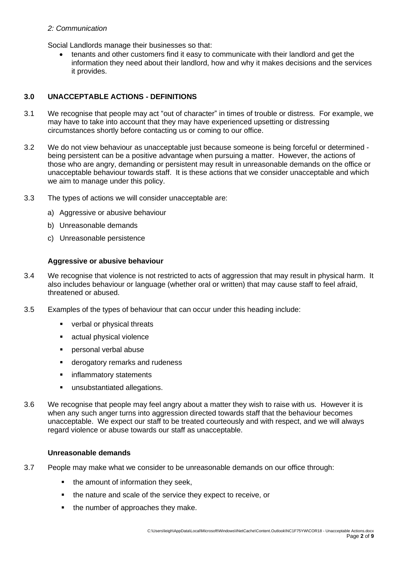#### *2: Communication*

Social Landlords manage their businesses so that:

• tenants and other customers find it easy to communicate with their landlord and get the information they need about their landlord, how and why it makes decisions and the services it provides.

### **3.0 UNACCEPTABLE ACTIONS - DEFINITIONS**

- 3.1 We recognise that people may act "out of character" in times of trouble or distress. For example, we may have to take into account that they may have experienced upsetting or distressing circumstances shortly before contacting us or coming to our office.
- 3.2 We do not view behaviour as unacceptable just because someone is being forceful or determined being persistent can be a positive advantage when pursuing a matter. However, the actions of those who are angry, demanding or persistent may result in unreasonable demands on the office or unacceptable behaviour towards staff. It is these actions that we consider unacceptable and which we aim to manage under this policy.
- 3.3 The types of actions we will consider unacceptable are:
	- a) Aggressive or abusive behaviour
	- b) Unreasonable demands
	- c) Unreasonable persistence

### **Aggressive or abusive behaviour**

- 3.4 We recognise that violence is not restricted to acts of aggression that may result in physical harm. It also includes behaviour or language (whether oral or written) that may cause staff to feel afraid, threatened or abused.
- 3.5 Examples of the types of behaviour that can occur under this heading include:
	- verbal or physical threats
	- actual physical violence
	- personal verbal abuse
	- derogatory remarks and rudeness
	- inflammatory statements
	- **■** unsubstantiated allegations.
- 3.6 We recognise that people may feel angry about a matter they wish to raise with us. However it is when any such anger turns into aggression directed towards staff that the behaviour becomes unacceptable. We expect our staff to be treated courteously and with respect, and we will always regard violence or abuse towards our staff as unacceptable.

### **Unreasonable demands**

- 3.7 People may make what we consider to be unreasonable demands on our office through:
	- the amount of information they seek,
	- the nature and scale of the service they expect to receive, or
	- the number of approaches they make.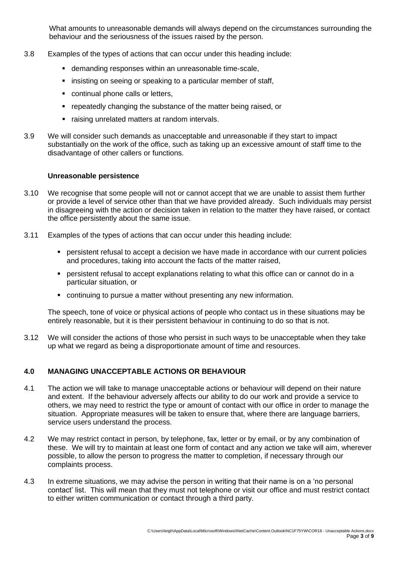What amounts to unreasonable demands will always depend on the circumstances surrounding the behaviour and the seriousness of the issues raised by the person.

- 3.8 Examples of the types of actions that can occur under this heading include:
	- **E** demanding responses within an unreasonable time-scale,
	- **·** insisting on seeing or speaking to a particular member of staff,
	- continual phone calls or letters,
	- **EXE** repeatedly changing the substance of the matter being raised, or
	- **E** raising unrelated matters at random intervals.
- 3.9 We will consider such demands as unacceptable and unreasonable if they start to impact substantially on the work of the office, such as taking up an excessive amount of staff time to the disadvantage of other callers or functions.

#### **Unreasonable persistence**

- 3.10 We recognise that some people will not or cannot accept that we are unable to assist them further or provide a level of service other than that we have provided already. Such individuals may persist in disagreeing with the action or decision taken in relation to the matter they have raised, or contact the office persistently about the same issue.
- 3.11 Examples of the types of actions that can occur under this heading include:
	- **•** persistent refusal to accept a decision we have made in accordance with our current policies and procedures, taking into account the facts of the matter raised,
	- **persistent refusal to accept explanations relating to what this office can or cannot do in a** particular situation, or
	- continuing to pursue a matter without presenting any new information.

The speech, tone of voice or physical actions of people who contact us in these situations may be entirely reasonable, but it is their persistent behaviour in continuing to do so that is not.

3.12 We will consider the actions of those who persist in such ways to be unacceptable when they take up what we regard as being a disproportionate amount of time and resources.

### **4.0 MANAGING UNACCEPTABLE ACTIONS OR BEHAVIOUR**

- 4.1 The action we will take to manage unacceptable actions or behaviour will depend on their nature and extent. If the behaviour adversely affects our ability to do our work and provide a service to others, we may need to restrict the type or amount of contact with our office in order to manage the situation. Appropriate measures will be taken to ensure that, where there are language barriers, service users understand the process.
- 4.2 We may restrict contact in person, by telephone, fax, letter or by email, or by any combination of these. We will try to maintain at least one form of contact and any action we take will aim, wherever possible, to allow the person to progress the matter to completion, if necessary through our complaints process.
- 4.3 In extreme situations, we may advise the person in writing that their name is on a 'no personal contact' list. This will mean that they must not telephone or visit our office and must restrict contact to either written communication or contact through a third party.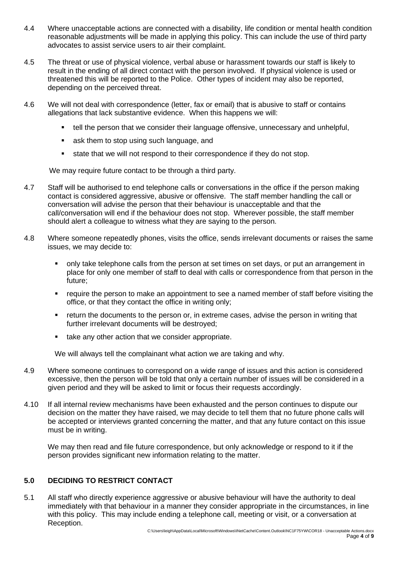- 4.4 Where unacceptable actions are connected with a disability, life condition or mental health condition reasonable adjustments will be made in applying this policy. This can include the use of third party advocates to assist service users to air their complaint.
- 4.5 The threat or use of physical violence, verbal abuse or harassment towards our staff is likely to result in the ending of all direct contact with the person involved. If physical violence is used or threatened this will be reported to the Police. Other types of incident may also be reported, depending on the perceived threat.
- 4.6 We will not deal with correspondence (letter, fax or email) that is abusive to staff or contains allegations that lack substantive evidence. When this happens we will:
	- tell the person that we consider their language offensive, unnecessary and unhelpful,
	- ask them to stop using such language, and
	- state that we will not respond to their correspondence if they do not stop.

We may require future contact to be through a third party.

- 4.7 Staff will be authorised to end telephone calls or conversations in the office if the person making contact is considered aggressive, abusive or offensive. The staff member handling the call or conversation will advise the person that their behaviour is unacceptable and that the call/conversation will end if the behaviour does not stop. Wherever possible, the staff member should alert a colleague to witness what they are saying to the person.
- 4.8 Where someone repeatedly phones, visits the office, sends irrelevant documents or raises the same issues, we may decide to:
	- only take telephone calls from the person at set times on set days, or put an arrangement in place for only one member of staff to deal with calls or correspondence from that person in the future;
	- require the person to make an appointment to see a named member of staff before visiting the office, or that they contact the office in writing only;
	- **•** return the documents to the person or, in extreme cases, advise the person in writing that further irrelevant documents will be destroyed;
	- take any other action that we consider appropriate.

We will always tell the complainant what action we are taking and why.

- 4.9 Where someone continues to correspond on a wide range of issues and this action is considered excessive, then the person will be told that only a certain number of issues will be considered in a given period and they will be asked to limit or focus their requests accordingly.
- 4.10 If all internal review mechanisms have been exhausted and the person continues to dispute our decision on the matter they have raised, we may decide to tell them that no future phone calls will be accepted or interviews granted concerning the matter, and that any future contact on this issue must be in writing.

We may then read and file future correspondence, but only acknowledge or respond to it if the person provides significant new information relating to the matter.

# **5.0 DECIDING TO RESTRICT CONTACT**

5.1 All staff who directly experience aggressive or abusive behaviour will have the authority to deal immediately with that behaviour in a manner they consider appropriate in the circumstances, in line with this policy. This may include ending a telephone call, meeting or visit, or a conversation at Reception.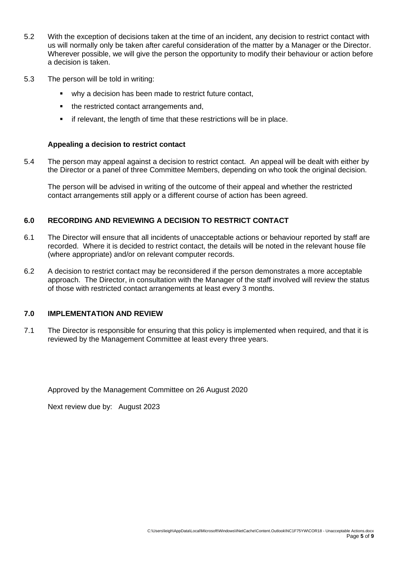- 5.2 With the exception of decisions taken at the time of an incident, any decision to restrict contact with us will normally only be taken after careful consideration of the matter by a Manager or the Director. Wherever possible, we will give the person the opportunity to modify their behaviour or action before a decision is taken.
- 5.3 The person will be told in writing:
	- why a decision has been made to restrict future contact,
	- the restricted contact arrangements and,
	- **■** if relevant, the length of time that these restrictions will be in place.

#### **Appealing a decision to restrict contact**

5.4 The person may appeal against a decision to restrict contact. An appeal will be dealt with either by the Director or a panel of three Committee Members, depending on who took the original decision.

The person will be advised in writing of the outcome of their appeal and whether the restricted contact arrangements still apply or a different course of action has been agreed.

### **6.0 RECORDING AND REVIEWING A DECISION TO RESTRICT CONTACT**

- 6.1 The Director will ensure that all incidents of unacceptable actions or behaviour reported by staff are recorded. Where it is decided to restrict contact, the details will be noted in the relevant house file (where appropriate) and/or on relevant computer records.
- 6.2 A decision to restrict contact may be reconsidered if the person demonstrates a more acceptable approach. The Director, in consultation with the Manager of the staff involved will review the status of those with restricted contact arrangements at least every 3 months.

#### **7.0 IMPLEMENTATION AND REVIEW**

7.1 The Director is responsible for ensuring that this policy is implemented when required, and that it is reviewed by the Management Committee at least every three years.

Approved by the Management Committee on 26 August 2020

Next review due by: August 2023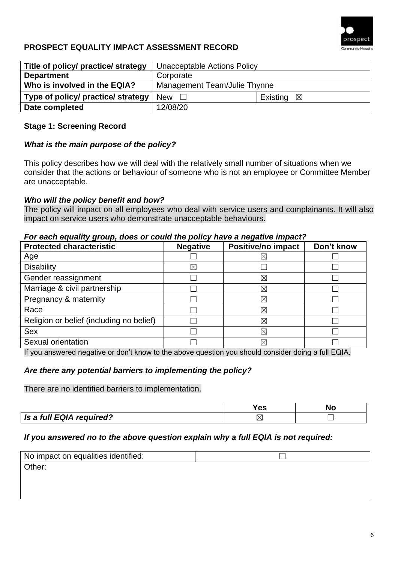

# **PROSPECT EQUALITY IMPACT ASSESSMENT RECORD**

| Title of policy/ practice/ strategy | Unacceptable Actions Policy  |                      |
|-------------------------------------|------------------------------|----------------------|
| <b>Department</b>                   | Corporate                    |                      |
| Who is involved in the EQIA?        | Management Team/Julie Thynne |                      |
| Type of policy/ practice/ strategy  | <b>New</b>                   | Existing $\boxtimes$ |
| Date completed                      | 12/08/20                     |                      |

# **Stage 1: Screening Record**

# *What is the main purpose of the policy?*

This policy describes how we will deal with the relatively small number of situations when we consider that the actions or behaviour of someone who is not an employee or Committee Member are unacceptable.

# *Who will the policy benefit and how?*

The policy will impact on all employees who deal with service users and complainants. It will also impact on service users who demonstrate unacceptable behaviours.

## *For each equality group, does or could the policy have a negative impact?*

| <b>Protected characteristic</b>          | <b>Negative</b> | Positive/no impact | Don't know |
|------------------------------------------|-----------------|--------------------|------------|
| Age                                      |                 | ⊠                  |            |
| <b>Disability</b>                        | $\boxtimes$     |                    |            |
| Gender reassignment                      |                 | ⊠                  |            |
| Marriage & civil partnership             |                 | $\boxtimes$        |            |
| Pregnancy & maternity                    |                 | ⊠                  |            |
| Race                                     |                 | ⊠                  |            |
| Religion or belief (including no belief) |                 | $\boxtimes$        |            |
| <b>Sex</b>                               |                 | ⊠                  |            |
| Sexual orientation                       |                 | ⊠                  |            |

If you answered negative or don't know to the above question you should consider doing a full EQIA.

# *Are there any potential barriers to implementing the policy?*

There are no identified barriers to implementation.

|                          | es |  |
|--------------------------|----|--|
| Is a full EQIA required? |    |  |

# *If you answered no to the above question explain why a full EQIA is not required:*

| No impact on equalities identified: |  |
|-------------------------------------|--|
| Other:                              |  |
|                                     |  |
|                                     |  |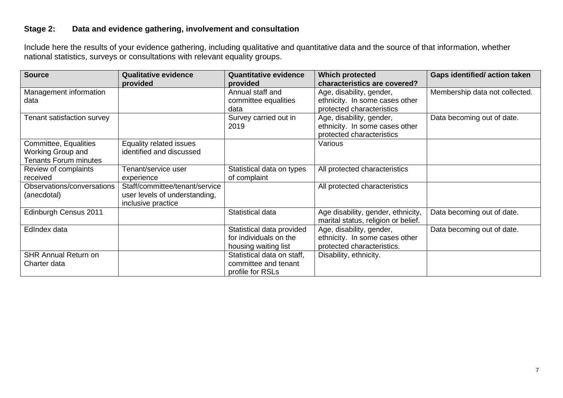# **Stage 2: Data and evidence gathering, involvement and consultation**

Include here the results of your evidence gathering, including qualitative and quantitative data and the source of that information, whether national statistics, surveys or consultations with relevant equality groups.

| <b>Source</b>                | <b>Qualitative evidence</b>    | <b>Quantitative evidence</b> | <b>Which protected</b>              | <b>Gaps identified/action taken</b> |
|------------------------------|--------------------------------|------------------------------|-------------------------------------|-------------------------------------|
|                              | provided                       | provided                     | characteristics are covered?        |                                     |
| Management information       |                                | Annual staff and             | Age, disability, gender,            | Membership data not collected.      |
| data                         |                                | committee equalities         | ethnicity. In some cases other      |                                     |
|                              |                                | data                         | protected characteristics           |                                     |
| Tenant satisfaction survey   |                                | Survey carried out in        | Age, disability, gender,            | Data becoming out of date.          |
|                              |                                | 2019                         | ethnicity. In some cases other      |                                     |
|                              |                                |                              | protected characteristics           |                                     |
| Committee, Equalities        | Equality related issues        |                              | Various                             |                                     |
| Working Group and            | identified and discussed       |                              |                                     |                                     |
| <b>Tenants Forum minutes</b> |                                |                              |                                     |                                     |
| Review of complaints         | Tenant/service user            | Statistical data on types    | All protected characteristics       |                                     |
| received                     | experience                     | of complaint                 |                                     |                                     |
| Observations/conversations   | Staff/committee/tenant/service |                              | All protected characteristics       |                                     |
| (anecdotal)                  | user levels of understanding,  |                              |                                     |                                     |
|                              | inclusive practice             |                              |                                     |                                     |
| Edinburgh Census 2011        |                                | Statistical data             | Age disability, gender, ethnicity,  | Data becoming out of date.          |
|                              |                                |                              | marital status, religion or belief. |                                     |
| EdIndex data                 |                                | Statistical data provided    | Age, disability, gender,            | Data becoming out of date.          |
|                              |                                | for individuals on the       | ethnicity. In some cases other      |                                     |
|                              |                                | housing waiting list         | protected characteristics.          |                                     |
| <b>SHR Annual Return on</b>  |                                | Statistical data on staff,   | Disability, ethnicity.              |                                     |
| Charter data                 |                                | committee and tenant         |                                     |                                     |
|                              |                                | profile for RSLs             |                                     |                                     |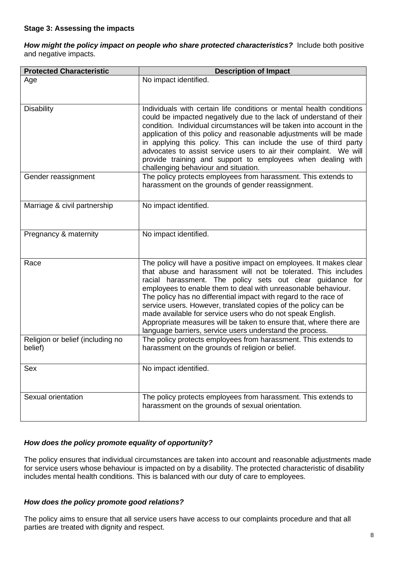*How might the policy impact on people who share protected characteristics?*Include both positive and negative impacts.

| <b>Protected Characteristic</b>             | <b>Description of Impact</b>                                                                                                                                                                                                                                                                                                                                                                                                                                                                                                                                                                              |
|---------------------------------------------|-----------------------------------------------------------------------------------------------------------------------------------------------------------------------------------------------------------------------------------------------------------------------------------------------------------------------------------------------------------------------------------------------------------------------------------------------------------------------------------------------------------------------------------------------------------------------------------------------------------|
| Age                                         | No impact identified.                                                                                                                                                                                                                                                                                                                                                                                                                                                                                                                                                                                     |
|                                             |                                                                                                                                                                                                                                                                                                                                                                                                                                                                                                                                                                                                           |
| <b>Disability</b>                           | Individuals with certain life conditions or mental health conditions<br>could be impacted negatively due to the lack of understand of their<br>condition. Individual circumstances will be taken into account in the<br>application of this policy and reasonable adjustments will be made<br>in applying this policy. This can include the use of third party<br>advocates to assist service users to air their complaint. We will<br>provide training and support to employees when dealing with<br>challenging behaviour and situation.                                                                |
| Gender reassignment                         | The policy protects employees from harassment. This extends to<br>harassment on the grounds of gender reassignment.                                                                                                                                                                                                                                                                                                                                                                                                                                                                                       |
| Marriage & civil partnership                | No impact identified.                                                                                                                                                                                                                                                                                                                                                                                                                                                                                                                                                                                     |
| Pregnancy & maternity                       | No impact identified.                                                                                                                                                                                                                                                                                                                                                                                                                                                                                                                                                                                     |
| Race                                        | The policy will have a positive impact on employees. It makes clear<br>that abuse and harassment will not be tolerated. This includes<br>racial harassment. The policy sets out clear guidance for<br>employees to enable them to deal with unreasonable behaviour.<br>The policy has no differential impact with regard to the race of<br>service users. However, translated copies of the policy can be<br>made available for service users who do not speak English.<br>Appropriate measures will be taken to ensure that, where there are<br>language barriers, service users understand the process. |
| Religion or belief (including no<br>belief) | The policy protects employees from harassment. This extends to<br>harassment on the grounds of religion or belief.                                                                                                                                                                                                                                                                                                                                                                                                                                                                                        |
| Sex                                         | No impact identified.                                                                                                                                                                                                                                                                                                                                                                                                                                                                                                                                                                                     |
| Sexual orientation                          | The policy protects employees from harassment. This extends to<br>harassment on the grounds of sexual orientation.                                                                                                                                                                                                                                                                                                                                                                                                                                                                                        |

# *How does the policy promote equality of opportunity?*

The policy ensures that individual circumstances are taken into account and reasonable adjustments made for service users whose behaviour is impacted on by a disability. The protected characteristic of disability includes mental health conditions. This is balanced with our duty of care to employees.

### *How does the policy promote good relations?*

The policy aims to ensure that all service users have access to our complaints procedure and that all parties are treated with dignity and respect.